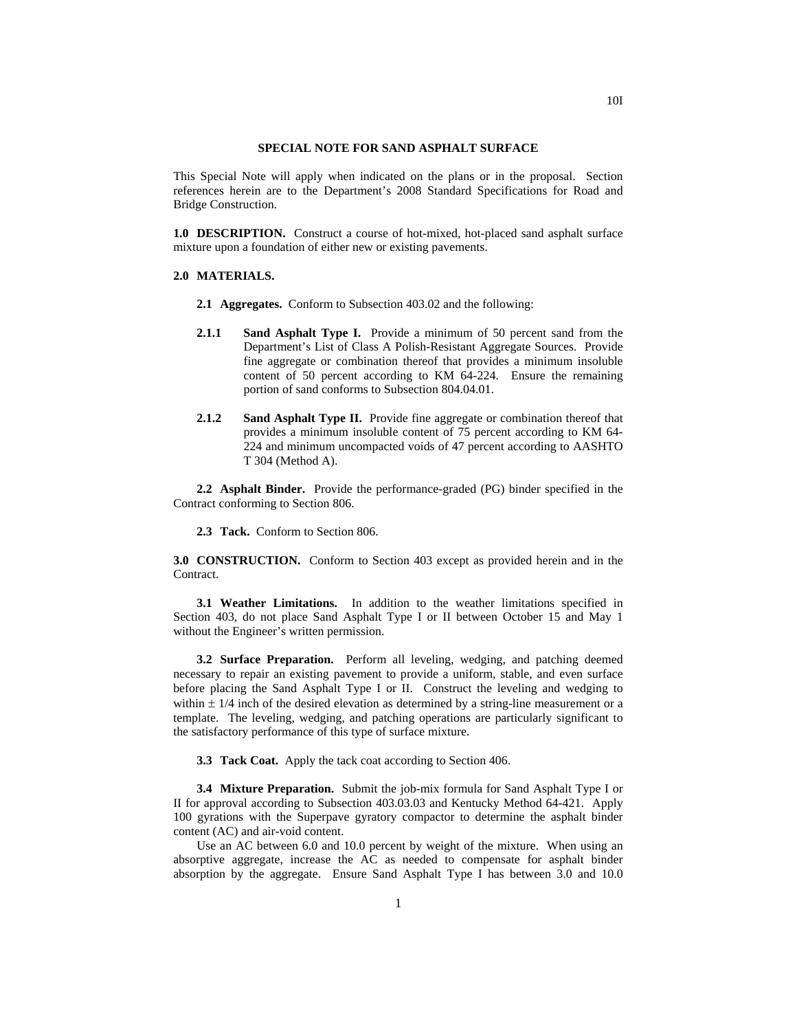## **SPECIAL NOTE FOR SAND ASPHALT SURFACE**

This Special Note will apply when indicated on the plans or in the proposal. Section references herein are to the Department's 2008 Standard Specifications for Road and Bridge Construction.

**1.0 DESCRIPTION.** Construct a course of hot-mixed, hot-placed sand asphalt surface mixture upon a foundation of either new or existing pavements.

## **2.0 MATERIALS.**

- **2.1 Aggregates.** Conform to Subsection 403.02 and the following:
- **2.1.1 Sand Asphalt Type I.** Provide a minimum of 50 percent sand from the Department's List of Class A Polish-Resistant Aggregate Sources. Provide fine aggregate or combination thereof that provides a minimum insoluble content of 50 percent according to KM 64-224. Ensure the remaining portion of sand conforms to Subsection 804.04.01.
- **2.1.2 Sand Asphalt Type II.** Provide fine aggregate or combination thereof that provides a minimum insoluble content of 75 percent according to KM 64- 224 and minimum uncompacted voids of 47 percent according to AASHTO T 304 (Method A).

**2.2 Asphalt Binder.** Provide the performance-graded (PG) binder specified in the Contract conforming to Section 806.

**2.3 Tack.** Conform to Section 806.

**3.0 CONSTRUCTION.** Conform to Section 403 except as provided herein and in the Contract.

**3.1 Weather Limitations.** In addition to the weather limitations specified in Section 403, do not place Sand Asphalt Type I or II between October 15 and May 1 without the Engineer's written permission.

**3.2 Surface Preparation.** Perform all leveling, wedging, and patching deemed necessary to repair an existing pavement to provide a uniform, stable, and even surface before placing the Sand Asphalt Type I or II. Construct the leveling and wedging to within  $\pm$  1/4 inch of the desired elevation as determined by a string-line measurement or a template. The leveling, wedging, and patching operations are particularly significant to the satisfactory performance of this type of surface mixture.

**3.3 Tack Coat.** Apply the tack coat according to Section 406.

**3.4 Mixture Preparation.** Submit the job-mix formula for Sand Asphalt Type I or II for approval according to Subsection 403.03.03 and Kentucky Method 64-421. Apply 100 gyrations with the Superpave gyratory compactor to determine the asphalt binder content (AC) and air-void content.

Use an AC between 6.0 and 10.0 percent by weight of the mixture. When using an absorptive aggregate, increase the AC as needed to compensate for asphalt binder absorption by the aggregate. Ensure Sand Asphalt Type I has between  $3.0$  and  $10.0$